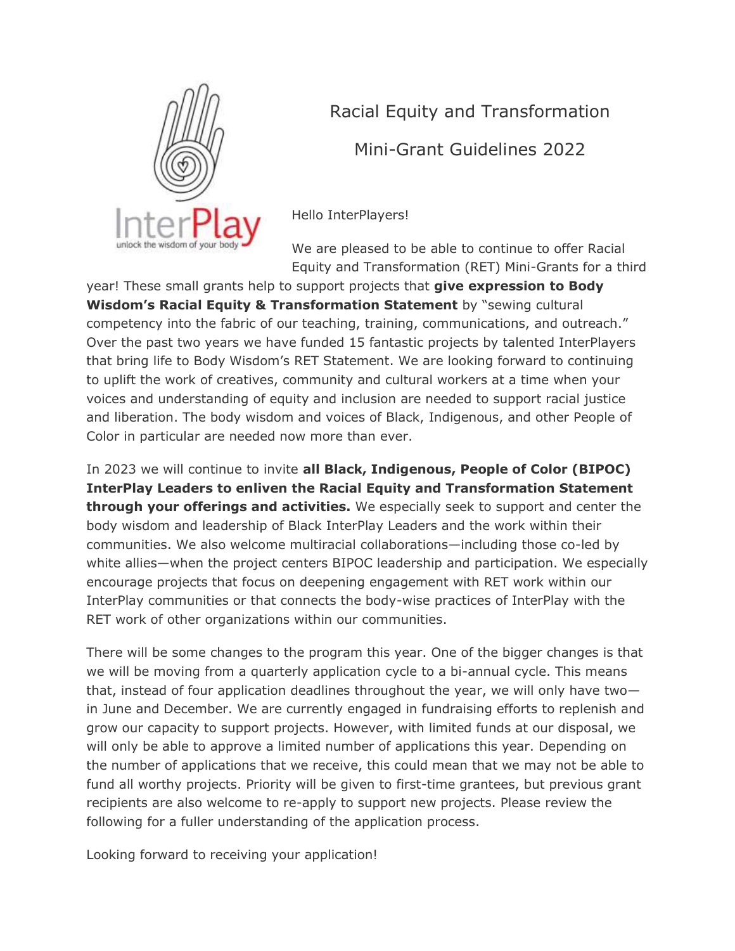

Racial Equity and Transformation

Mini-Grant Guidelines 2022

Hello InterPlayers!

We are pleased to be able to continue to offer Racial Equity and Transformation (RET) Mini-Grants for a third

year! These small grants help to support projects that **give expression to Body Wisdom's Racial Equity & Transformation Statement** by "sewing cultural competency into the fabric of our teaching, training, communications, and outreach." Over the past two years we have funded 15 fantastic projects by talented InterPlayers that bring life to Body Wisdom's RET Statement. We are looking forward to continuing to uplift the work of creatives, community and cultural workers at a time when your voices and understanding of equity and inclusion are needed to support racial justice and liberation. The body wisdom and voices of Black, Indigenous, and other People of Color in particular are needed now more than ever.

In 2023 we will continue to invite **all Black, Indigenous, People of Color (BIPOC) InterPlay Leaders to enliven the Racial Equity and Transformation Statement through your offerings and activities.** We especially seek to support and center the body wisdom and leadership of Black InterPlay Leaders and the work within their communities. We also welcome multiracial collaborations—including those co-led by white allies—when the project centers BIPOC leadership and participation. We especially encourage projects that focus on deepening engagement with RET work within our InterPlay communities or that connects the body-wise practices of InterPlay with the RET work of other organizations within our communities.

There will be some changes to the program this year. One of the bigger changes is that we will be moving from a quarterly application cycle to a bi-annual cycle. This means that, instead of four application deadlines throughout the year, we will only have two in June and December. We are currently engaged in fundraising efforts to replenish and grow our capacity to support projects. However, with limited funds at our disposal, we will only be able to approve a limited number of applications this year. Depending on the number of applications that we receive, this could mean that we may not be able to fund all worthy projects. Priority will be given to first-time grantees, but previous grant recipients are also welcome to re-apply to support new projects. Please review the following for a fuller understanding of the application process.

Looking forward to receiving your application!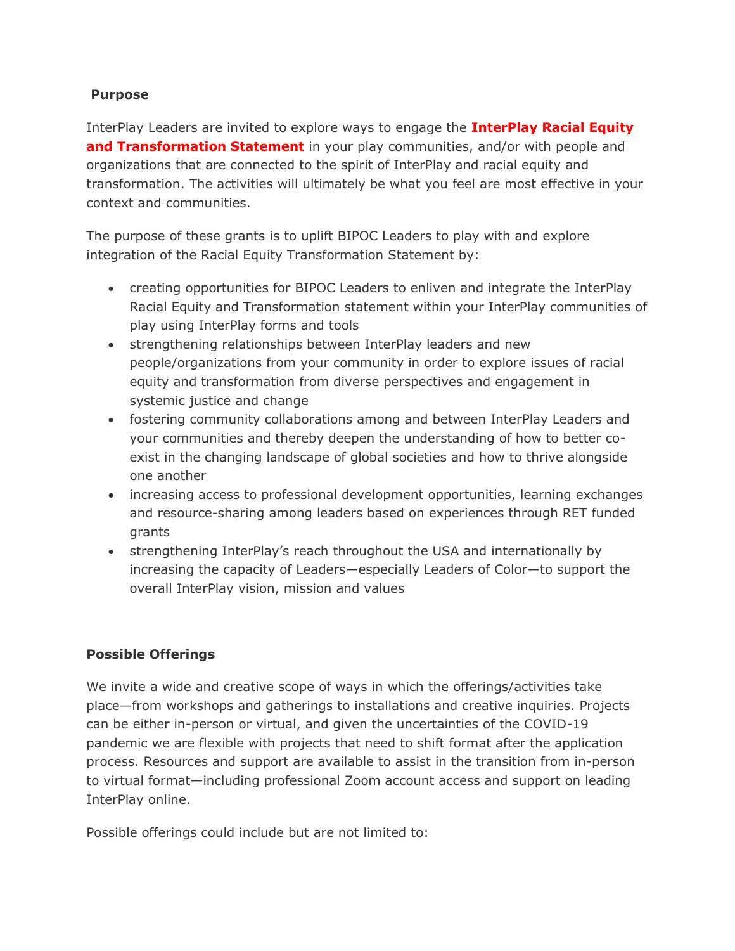## **Purpose**

InterPlay Leaders are invited to explore ways to engage the **[InterPlay Racial Equity](https://www.interplay.org/features/racial-equity-transformation/RacialEquityTransformation.htm)  [and Transformation Statement](https://www.interplay.org/features/racial-equity-transformation/RacialEquityTransformation.htm)** in your play communities, and/or with people and organizations that are connected to the spirit of InterPlay and racial equity and transformation. The activities will ultimately be what you feel are most effective in your context and communities.

The purpose of these grants is to uplift BIPOC Leaders to play with and explore integration of the Racial Equity Transformation Statement by:

- creating opportunities for BIPOC Leaders to enliven and integrate the InterPlay Racial Equity and Transformation statement within your InterPlay communities of play using InterPlay forms and tools
- strengthening relationships between InterPlay leaders and new people/organizations from your community in order to explore issues of racial equity and transformation from diverse perspectives and engagement in systemic justice and change
- fostering community collaborations among and between InterPlay Leaders and your communities and thereby deepen the understanding of how to better coexist in the changing landscape of global societies and how to thrive alongside one another
- increasing access to professional development opportunities, learning exchanges and resource-sharing among leaders based on experiences through RET funded grants
- strengthening InterPlay's reach throughout the USA and internationally by increasing the capacity of Leaders—especially Leaders of Color—to support the overall InterPlay vision, mission and values

## **Possible Offerings**

We invite a wide and creative scope of ways in which the offerings/activities take place—from workshops and gatherings to installations and creative inquiries. Projects can be either in-person or virtual, and given the uncertainties of the COVID-19 pandemic we are flexible with projects that need to shift format after the application process. Resources and support are available to assist in the transition from in-person to virtual format—including professional Zoom account access and support on leading InterPlay online.

Possible offerings could include but are not limited to: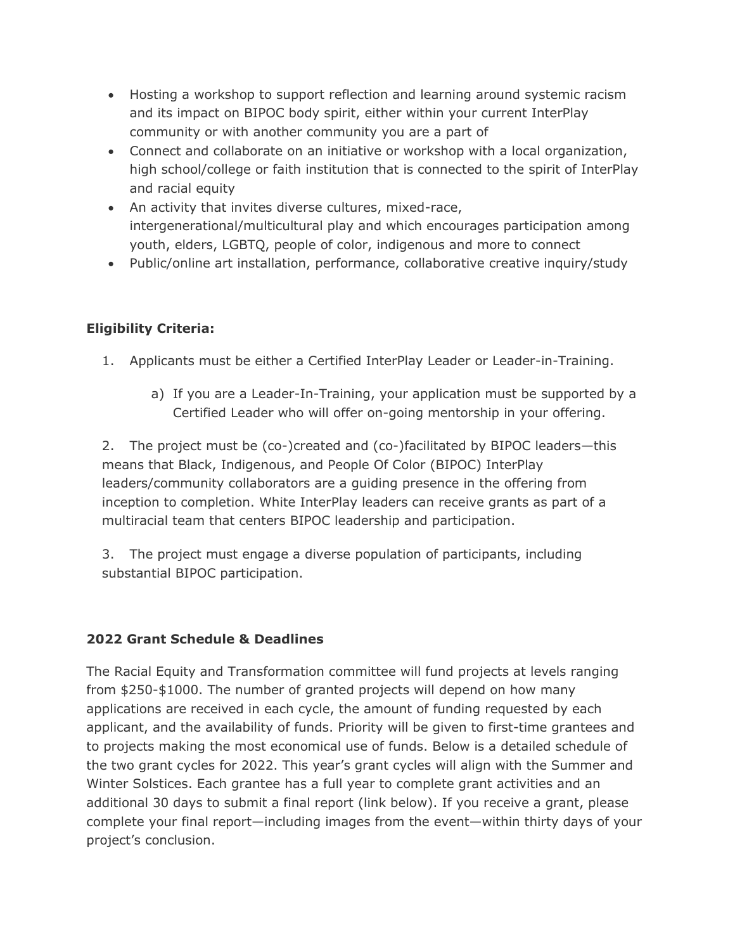- Hosting a workshop to support reflection and learning around systemic racism and its impact on BIPOC body spirit, either within your current InterPlay community or with another community you are a part of
- Connect and collaborate on an initiative or workshop with a local organization, high school/college or faith institution that is connected to the spirit of InterPlay and racial equity
- An activity that invites diverse cultures, mixed-race, intergenerational/multicultural play and which encourages participation among youth, elders, LGBTQ, people of color, indigenous and more to connect
- Public/online art installation, performance, collaborative creative inquiry/study

# **Eligibility Criteria:**

- 1. Applicants must be either a Certified InterPlay Leader or Leader-in-Training.
	- a) If you are a Leader-In-Training, your application must be supported by a Certified Leader who will offer on-going mentorship in your offering.

2. The project must be (co-)created and (co-)facilitated by BIPOC leaders—this means that Black, Indigenous, and People Of Color (BIPOC) InterPlay leaders/community collaborators are a guiding presence in the offering from inception to completion. White InterPlay leaders can receive grants as part of a multiracial team that centers BIPOC leadership and participation.

3. The project must engage a diverse population of participants, including substantial BIPOC participation.

## **2022 Grant Schedule & Deadlines**

The Racial Equity and Transformation committee will fund projects at levels ranging from \$250-\$1000. The number of granted projects will depend on how many applications are received in each cycle, the amount of funding requested by each applicant, and the availability of funds. Priority will be given to first-time grantees and to projects making the most economical use of funds. Below is a detailed schedule of the two grant cycles for 2022. This year's grant cycles will align with the Summer and Winter Solstices. Each grantee has a full year to complete grant activities and an additional 30 days to submit a final report (link below). If you receive a grant, please complete your final report—including images from the event—within thirty days of your project's conclusion.